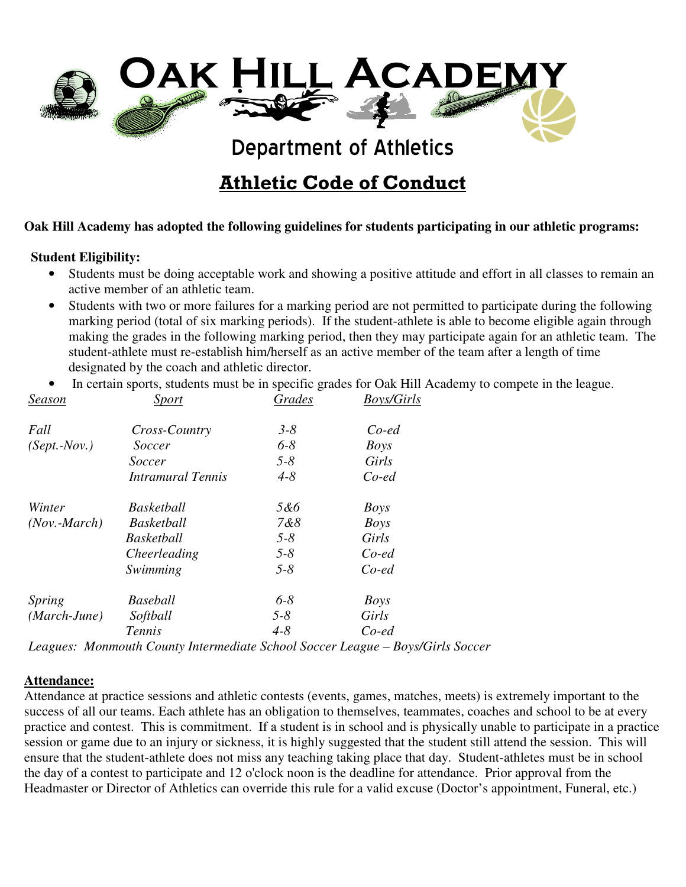

Athletic Code of Conduct

#### **Oak Hill Academy has adopted the following guidelines for students participating in our athletic programs:**

#### **Student Eligibility:**

- Students must be doing acceptable work and showing a positive attitude and effort in all classes to remain an active member of an athletic team.
- Students with two or more failures for a marking period are not permitted to participate during the following marking period (total of six marking periods). If the student-athlete is able to become eligible again through making the grades in the following marking period, then they may participate again for an athletic team. The student-athlete must re-establish him/herself as an active member of the team after a length of time designated by the coach and athletic director.
- In certain sports, students must be in specific grades for Oak Hill Academy to compete in the league.

| Season                         | <i>Sport</i>                                                                         | Grades             | <b>Boys/Girls</b> |
|--------------------------------|--------------------------------------------------------------------------------------|--------------------|-------------------|
| Fall                           | Cross-Country                                                                        | $3 - 8$            | $Co$ -ed          |
| $(Sept.-Nov.)$                 | Soccer                                                                               | $6 - 8$            | <b>Boys</b>       |
|                                | Soccer                                                                               | $5 - 8$            | Girls             |
|                                | <b>Intramural Tennis</b>                                                             | $4 - 8$            | $Co$ -ed          |
| Winter                         | <b>Basketball</b>                                                                    | 5&6                | <b>Boys</b>       |
| $(Nov. - March)$               | <b>Basketball</b>                                                                    | 7&8                | <b>Boys</b>       |
|                                | <b>Basketball</b>                                                                    | $5 - 8$            | Girls             |
|                                | Cheerleading                                                                         | $5 - 8$            | $Co$ -ed          |
|                                | Swimming                                                                             | $5 - 8$            | $Co$ -ed          |
| <i>Spring</i>                  | <b>Baseball</b>                                                                      | $6 - 8$            | <b>Boys</b>       |
| $(March-June)$                 | Softball                                                                             | $5 - 8$            | Girls             |
|                                | Tennis                                                                               | $4 - 8$            | $Co$ -ed          |
| $\mathbf{r}$<br>$\blacksquare$ | $\mathbf{r}$ .<br>$\mathbf{r}$ . The set of $\mathbf{r}$<br>the contract of the con- | $\sim$ 1<br>$\sim$ |                   |

*Leagues: Monmouth County Intermediate School Soccer League – Boys/Girls Soccer* 

#### **Attendance:**

Attendance at practice sessions and athletic contests (events, games, matches, meets) is extremely important to the success of all our teams. Each athlete has an obligation to themselves, teammates, coaches and school to be at every practice and contest. This is commitment. If a student is in school and is physically unable to participate in a practice session or game due to an injury or sickness, it is highly suggested that the student still attend the session. This will ensure that the student-athlete does not miss any teaching taking place that day. Student-athletes must be in school the day of a contest to participate and 12 o'clock noon is the deadline for attendance. Prior approval from the Headmaster or Director of Athletics can override this rule for a valid excuse (Doctor's appointment, Funeral, etc.)